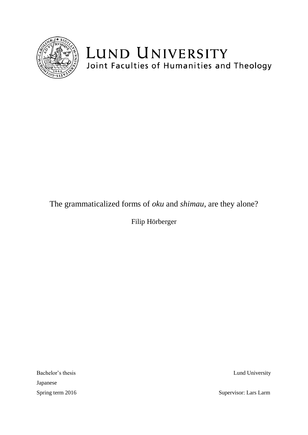

# LUND UNIVERSITY Joint Faculties of Humanities and Theology

## The grammaticalized forms of *oku* and *shimau*, are they alone?

Filip Hörberger

Bachelor's thesis Lund University Japanese

Spring term 2016 Supervisor: Lars Larm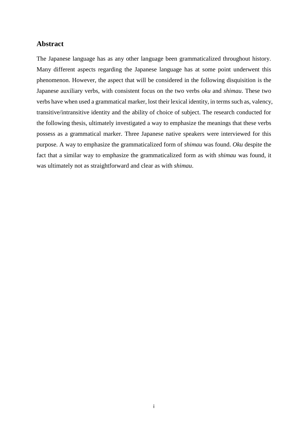#### <span id="page-1-0"></span>**Abstract**

The Japanese language has as any other language been grammaticalized throughout history. Many different aspects regarding the Japanese language has at some point underwent this phenomenon. However, the aspect that will be considered in the following disquisition is the Japanese auxiliary verbs, with consistent focus on the two verbs *oku* and *shimau*. These two verbs have when used a grammatical marker, lost their lexical identity, in terms such as, valency, transitive/intransitive identity and the ability of choice of subject. The research conducted for the following thesis, ultimately investigated a way to emphasize the meanings that these verbs possess as a grammatical marker. Three Japanese native speakers were interviewed for this purpose. A way to emphasize the grammaticalized form of *shimau* was found. *Oku* despite the fact that a similar way to emphasize the grammaticalized form as with *shimau* was found, it was ultimately not as straightforward and clear as with *shimau*.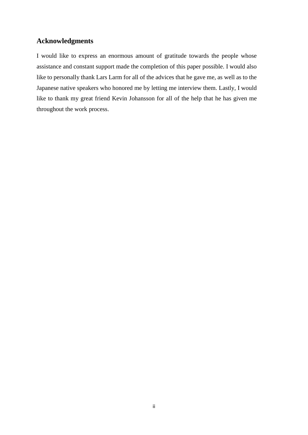### <span id="page-2-0"></span>**Acknowledgments**

I would like to express an enormous amount of gratitude towards the people whose assistance and constant support made the completion of this paper possible. I would also like to personally thank Lars Larm for all of the advices that he gave me, as well as to the Japanese native speakers who honored me by letting me interview them. Lastly, I would like to thank my great friend Kevin Johansson for all of the help that he has given me throughout the work process.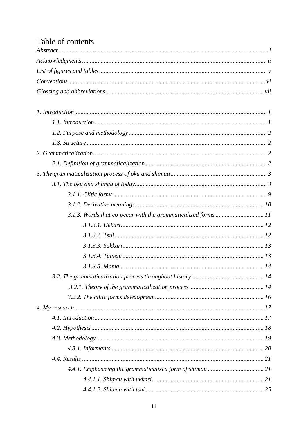## Table of contents

| 25 |
|----|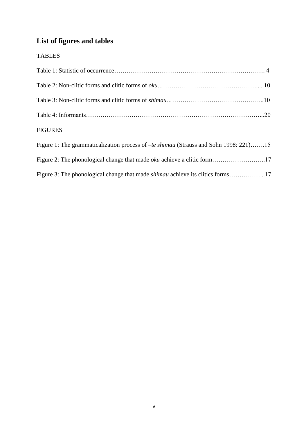## <span id="page-5-0"></span>**List of figures and tables**

### TABLES

| <b>FIGURES</b>                                                                               |  |
|----------------------------------------------------------------------------------------------|--|
| Figure 1: The grammaticalization process of <i>-te shimau</i> (Strauss and Sohn 1998: 221)15 |  |
| Figure 2: The phonological change that made oku achieve a clitic form17                      |  |
| Figure 3: The phonological change that made <i>shimau</i> achieve its clitics forms17        |  |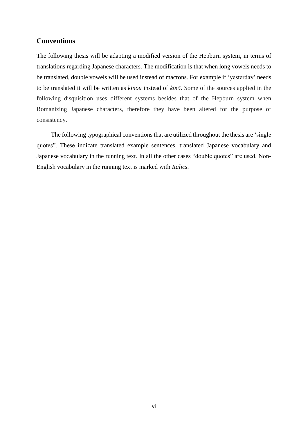#### <span id="page-6-0"></span>**Conventions**

The following thesis will be adapting a modified version of the Hepburn system, in terms of translations regarding Japanese characters. The modification is that when long vowels needs to be translated, double vowels will be used instead of macrons. For example if 'yesterday' needs to be translated it will be written as *kinou* instead of *kinō*. Some of the sources applied in the following disquisition uses different systems besides that of the Hepburn system when Romanizing Japanese characters, therefore they have been altered for the purpose of consistency.

The following typographical conventions that are utilized throughout the thesis are 'single quotes". These indicate translated example sentences, translated Japanese vocabulary and Japanese vocabulary in the running text. In all the other cases "double quotes" are used. Non-English vocabulary in the running text is marked with *Italics.*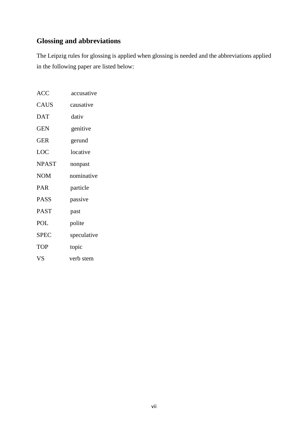## <span id="page-7-0"></span>**Glossing and abbreviations**

The Leipzig rules for glossing is applied when glossing is needed and the abbreviations applied in the following paper are listed below:

| <b>ACC</b>   | accusative  |
|--------------|-------------|
| <b>CAUS</b>  | causative   |
| <b>DAT</b>   | dativ       |
| <b>GEN</b>   | genitive    |
| <b>GER</b>   | gerund      |
| LOC          | locative    |
| <b>NPAST</b> | nonpast     |
| <b>NOM</b>   | nominative  |
| <b>PAR</b>   | particle    |
| <b>PASS</b>  | passive     |
| <b>PAST</b>  | past        |
| <b>POL</b>   | polite      |
| <b>SPEC</b>  | speculative |
| <b>TOP</b>   | topic       |
| <b>VS</b>    | verb stem   |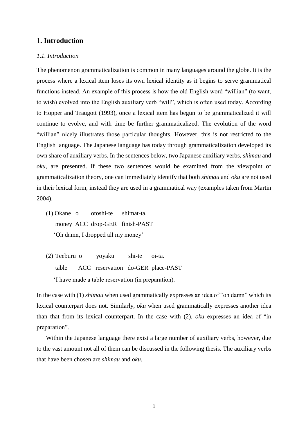#### <span id="page-8-0"></span>1**. Introduction**

#### <span id="page-8-1"></span>*1.1. Introduction*

The phenomenon grammaticalization is common in many languages around the globe. It is the process where a lexical item loses its own lexical identity as it begins to serve grammatical functions instead. An example of this process is how the old English word "willian" (to want, to wish) evolved into the English auxiliary verb "will", which is often used today. According to Hopper and Traugott (1993), once a lexical item has begun to be grammaticalized it will continue to evolve, and with time be further grammaticalized. The evolution of the word "willian" nicely illustrates those particular thoughts. However, this is not restricted to the English language. The Japanese language has today through grammaticalization developed its own share of auxiliary verbs. In the sentences below, two Japanese auxiliary verbs, *shimau* and *oku*, are presented. If these two sentences would be examined from the viewpoint of grammaticalization theory, one can immediately identify that both *shimau* and *oku* are not used in their lexical form, instead they are used in a grammatical way (examples taken from Martin 2004).

- (1) Okane o otoshi-te shimat-ta. money ACC drop-GER finish-PAST 'Oh damn, I dropped all my money'
- (2) Teeburu o yoyaku shi-te oi-ta. table ACC reservation do-GER place-PAST 'I have made a table reservation (in preparation).

In the case with (1) *shimau* when used grammatically expresses an idea of "oh damn" which its lexical counterpart does not. Similarly*, oku* when used grammatically expresses another idea than that from its lexical counterpart. In the case with (2), *oku* expresses an idea of "in preparation".

 Within the Japanese language there exist a large number of auxiliary verbs, however, due to the vast amount not all of them can be discussed in the following thesis. The auxiliary verbs that have been chosen are *shimau* and *oku*.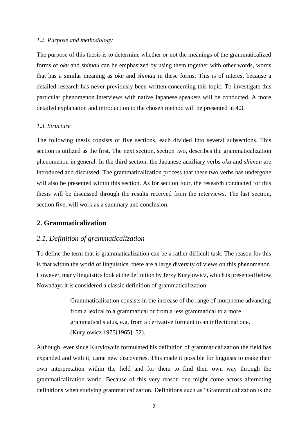#### <span id="page-9-0"></span>*1.2. Purpose and methodology*

The purpose of this thesis is to determine whether or not the meanings of the grammaticalized forms of *oku* and *shimau* can be emphasized by using them together with other words, words that has a similar meaning as *oku* and *shimau* in these forms. This is of interest because a detailed research has never previously been written concerning this topic. To investigate this particular phenomenon interviews with native Japanese speakers will be conducted. A more detailed explanation and introduction to the chosen method will be presented in 4.3.

#### <span id="page-9-1"></span>*1.3. Structure*

The following thesis consists of five sections, each divided into several subsections. This section is utilized as the first. The next section, section two, describes the grammaticalization phenomenon in general. In the third section, the Japanese auxiliary verbs *oku* and *shimau* are introduced and discussed. The grammaticalization process that these two verbs has undergone will also be presented within this section. As for section four, the research conducted for this thesis will be discussed through the results received from the interviews. The last section, section five, will work as a summary and conclusion.

#### <span id="page-9-2"></span>**2. Grammaticalization**

#### <span id="page-9-3"></span>*2.1. Definition of grammaticalization*

To define the term that is grammaticalization can be a rather difficult task. The reason for this is that within the world of linguistics, there are a large diversity of views on this phenomenon. However, many linguistics look at the definition by Jerzy Kurylowicz, which is presented below. Nowadays it is considered a classic definition of grammaticalization.

> Grammaticalisation consists in the increase of the range of morpheme advancing from a lexical to a grammatical or from a less grammatical to a more grammatical status, e.g. from a derivative formant to an inflectional one. (Kurylowicz 1975[1965]: 52).

Although, ever since Kurylowciz formulated his definition of grammaticalization the field has expanded and with it, came new discoveries. This made it possible for linguists to make their own interpretation within the field and for them to find their own way through the grammaticalization world. Because of this very reason one might come across alternating definitions when studying grammaticalization. Definitions such as "Grammaticalization is the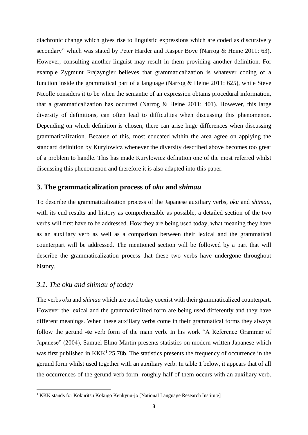diachronic change which gives rise to linguistic expressions which are coded as discursively secondary" which was stated by Peter Harder and Kasper Boye (Narrog & Heine 2011: 63). However, consulting another linguist may result in them providing another definition. For example Zygmunt Frajzyngier believes that grammaticalization is whatever coding of a function inside the grammatical part of a language (Narrog & Heine 2011: 625), while Steve Nicolle considers it to be when the semantic of an expression obtains procedural information, that a grammaticalization has occurred (Narrog & Heine 2011: 401). However, this large diversity of definitions, can often lead to difficulties when discussing this phenomenon. Depending on which definition is chosen, there can arise huge differences when discussing grammaticalization. Because of this, most educated within the area agree on applying the standard definition by Kurylowicz whenever the diversity described above becomes too great of a problem to handle. This has made Kurylowicz definition one of the most referred whilst discussing this phenomenon and therefore it is also adapted into this paper.

#### <span id="page-10-0"></span>**3. The grammaticalization process of** *oku* **and** *shimau*

To describe the grammaticalization process of the Japanese auxiliary verbs, *oku* and *shimau*, with its end results and history as comprehensible as possible, a detailed section of the two verbs will first have to be addressed. How they are being used today, what meaning they have as an auxiliary verb as well as a comparison between their lexical and the grammatical counterpart will be addressed. The mentioned section will be followed by a part that will describe the grammaticalization process that these two verbs have undergone throughout history.

#### <span id="page-10-1"></span>*3.1. The oku and shimau of today*

**.** 

The verbs *oku* and *shimau* which are used today coexist with their grammaticalized counterpart. However the lexical and the grammaticalized form are being used differently and they have different meanings. When these auxiliary verbs come in their grammatical forms they always follow the gerund -**te** verb form of the main verb. In his work "A Reference Grammar of Japanese" (2004), Samuel Elmo Martin presents statistics on modern written Japanese which was first published in  $KKK<sup>1</sup>$  25.78b. The statistics presents the frequency of occurrence in the gerund form whilst used together with an auxiliary verb. In table 1 below, it appears that of all the occurrences of the gerund verb form, roughly half of them occurs with an auxiliary verb.

<sup>&</sup>lt;sup>1</sup> KKK stands for Kokuritsu Kokugo Kenkyuu-jo [National Language Research Institute]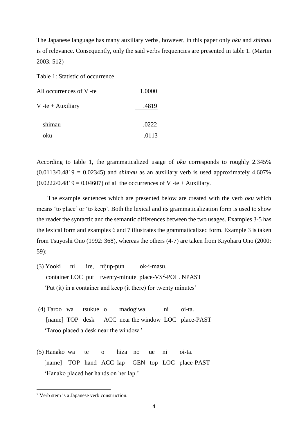The Japanese language has many auxiliary verbs, however, in this paper only *oku* and *shimau* is of relevance. Consequently, only the said verbs frequencies are presented in table 1. (Martin 2003: 512)

Table 1: Statistic of occurrence

| All occurrences of V -te | 1.0000 |
|--------------------------|--------|
| V -te + Auxiliary        | .4819  |
| shimau                   | .0222  |
| oku                      | .0113  |

According to table 1, the grammaticalized usage of *oku* corresponds to roughly 2.345% (0.0113/0.4819 = 0.02345) and *shimau* as an auxiliary verb is used approximately 4.607%  $(0.0222/0.4819 = 0.04607)$  of all the occurrences of V -te + Auxiliary.

 The example sentences which are presented below are created with the verb *oku* which means 'to place' or 'to keep'. Both the lexical and its grammaticalization form is used to show the reader the syntactic and the semantic differences between the two usages. Examples 3-5 has the lexical form and examples 6 and 7 illustrates the grammaticalized form. Example 3 is taken from Tsuyoshi Ono (1992: 368), whereas the others (4-7) are taken from Kiyoharu Ono (2000: 59):

- (3) Yooki ni ire, nijup-pun ok-i-masu. container LOC put twenty-minute place-VS<sup>2</sup>-POL. NPAST 'Put (it) in a container and keep (it there) for twenty minutes'
- (4) Taroo wa tsukue o madogiwa ni oi-ta. [name] TOP desk ACC near the window LOC place-PAST 'Taroo placed a desk near the window.'
- (5) Hanako wa te o hiza no ue ni oi-ta. [name] TOP hand ACC lap GEN top LOC place-PAST 'Hanako placed her hands on her lap.'

**.** 

<sup>2</sup> Verb stem is a Japanese verb construction.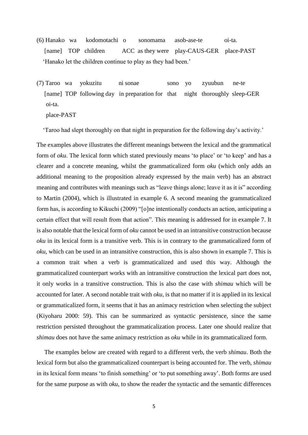(6) Hanako wa kodomotachi o sonomama asob-ase-te oi-ta. [name] TOP children ACC as they were play-CAUS-GER place-PAST 'Hanako let the children continue to play as they had been.'

(7) Taroo wa yokuzitu ni sonae sono yo zyuubun ne-te [name] TOP following day in preparation for that night thoroughly sleep-GER oi-ta.

place-PAST

'Taroo had slept thoroughly on that night in preparation for the following day's activity.'

The examples above illustrates the different meanings between the lexical and the grammatical form of *oku*. The lexical form which stated previously means 'to place' or 'to keep' and has a clearer and a concrete meaning, whilst the grammaticalized form *oku* (which only adds an additional meaning to the proposition already expressed by the main verb) has an abstract meaning and contributes with meanings such as "leave things alone; leave it as it is" according to Martin (2004), which is illustrated in example 6. A second meaning the grammaticalized form has, is according to Kikuchi (2009) "[o]ne intentionally conducts an action, anticipating a certain effect that will result from that action". This meaning is addressed for in example 7. It is also notable that the lexical form of *oku* cannot be used in an intransitive construction because *oku* in its lexical form is a transitive verb. This is in contrary to the grammaticalized form of *oku*, which can be used in an intransitive construction, this is also shown in example 7. This is a common trait when a verb is grammaticalized and used this way. Although the grammaticalized counterpart works with an intransitive construction the lexical part does not, it only works in a transitive construction. This is also the case with *shimau* which will be accounted for later. A second notable trait with *oku,* is that no matter if it is applied in its lexical or grammaticalized form, it seems that it has an animacy restriction when selecting the subject (Kiyoharu 2000: 59). This can be summarized as syntactic persistence, since the same restriction persisted throughout the grammaticalization process. Later one should realize that *shimau* does not have the same animacy restriction as *oku* while in its grammaticalized form.

 The examples below are created with regard to a different verb, the verb *shimau*. Both the lexical form but also the grammaticalized counterpart is being accounted for. The verb, *shimau* in its lexical form means 'to finish something' or 'to put something away'. Both forms are used for the same purpose as with *oku*, to show the reader the syntactic and the semantic differences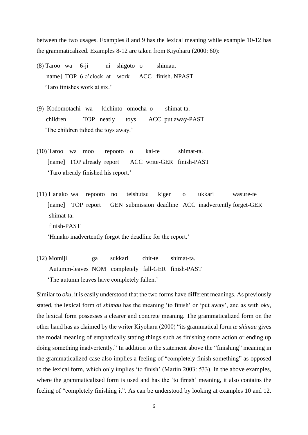between the two usages. Examples 8 and 9 has the lexical meaning while example 10-12 has the grammaticalized. Examples 8-12 are taken from Kiyoharu (2000: 60):

- (8) Taroo wa 6-ji ni shigoto o shimau. [name] TOP 6 o'clock at work ACC finish. NPAST 'Taro finishes work at six.'
- (9) Kodomotachi wa kichinto omocha o shimat-ta. children TOP neatly toys ACC put away-PAST 'The children tidied the toys away.'
- (10) Taroo wa moo repooto o kai-te shimat-ta. [name] TOP already report ACC write-GER finish-PAST 'Taro already finished his report.'
- (11) Hanako wa repooto no teishutsu kigen o ukkari wasure-te [name] TOP report GEN submission deadline ACC inadvertently forget-GER shimat-ta. finish-PAST

'Hanako inadvertently forgot the deadline for the report.'

(12) Momiji ga sukkari chit-te shimat-ta. Autumm-leaves NOM completely fall-GER finish-PAST 'The autumn leaves have completely fallen.'

Similar to *oku,* it is easily understood that the two forms have different meanings. As previously stated, the lexical form of *shimau* has the meaning 'to finish' or 'put away', and as with *oku*, the lexical form possesses a clearer and concrete meaning. The grammaticalized form on the other hand has as claimed by the writer Kiyoharu (2000) "its grammatical form *te shimau* gives the modal meaning of emphatically stating things such as finishing some action or ending up doing something inadvertently." In addition to the statement above the "finishing" meaning in the grammaticalized case also implies a feeling of "completely finish something" as opposed to the lexical form, which only implies 'to finish' (Martin 2003: 533). In the above examples, where the grammaticalized form is used and has the 'to finish' meaning, it also contains the feeling of "completely finishing it". As can be understood by looking at examples 10 and 12.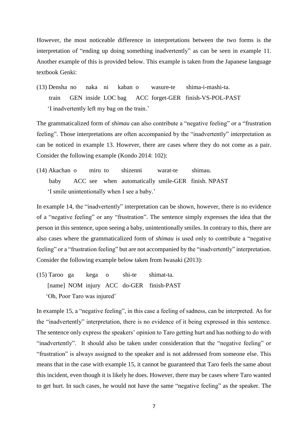However, the most noticeable difference in interpretations between the two forms is the interpretation of "ending up doing something inadvertently" as can be seen in example 11. Another example of this is provided below. This example is taken from the Japanese language textbook Genki:

(13) Densha no naka ni kaban o wasure-te shima-i-mashi-ta. train GEN inside LOC bag ACC forget-GER finish-VS-POL-PAST 'I inadvertently left my bag on the train.'

The grammaticalized form of *shimau* can also contribute a "negative feeling" or a "frustration feeling". Those interpretations are often accompanied by the "inadvertently" interpretation as can be noticed in example 13. However, there are cases where they do not come as a pair. Consider the following example (Kondo 2014: 102):

(14) Akachan o miru to shizenni warat-te shimau. baby ACC see when automatically smile-GER finish. NPAST 'I smile unintentionally when I see a baby.'

In example 14, the "inadvertently" interpretation can be shown, however, there is no evidence of a "negative feeling" or any "frustration". The sentence simply expresses the idea that the person in this sentence, upon seeing a baby, unintentionally smiles. In contrary to this, there are also cases where the grammaticalized form of *shimau* is used only to contribute a "negative feeling" or a "frustration feeling" but are not accompanied by the "inadvertently" interpretation. Consider the following example below taken from Iwasaki (2013):

(15) Taroo ga kega o shi-te shimat-ta. [name] NOM injury ACC do-GER finish-PAST 'Oh, Poor Taro was injured'

In example 15, a "negative feeling", in this case a feeling of sadness, can be interpreted. As for the "inadvertently" interpretation, there is no evidence of it being expressed in this sentence. The sentence only express the speakers' opinion to Taro getting hurt and has nothing to do with "inadvertently". It should also be taken under consideration that the "negative feeling" or "frustration" is always assigned to the speaker and is not addressed from someone else. This means that in the case with example 15, it cannot be guaranteed that Taro feels the same about this incident, even though it is likely he does. However, there may be cases where Taro wanted to get hurt. In such cases, he would not have the same "negative feeling" as the speaker. The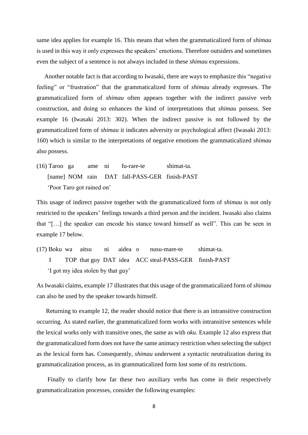same idea applies for example 16. This means that when the grammaticalized form of *shimau* is used in this way it only expresses the speakers' emotions. Therefore outsiders and sometimes even the subject of a sentence is not always included in these *shimau* expressions.

 Another notable fact is that according to Iwasaki, there are ways to emphasize this "negative feeling" or "frustration" that the grammaticalized form of *shimau* already expresses. The grammaticalized form of *shimau* often appears together with the indirect passive verb construction, and doing so enhances the kind of interpretations that *shimau* possess. See example 16 (Iwasaki 2013: 302). When the indirect passive is not followed by the grammaticalized form of *shimau* it indicates adversity or psychological affect (Iwasaki 2013: 160) which is similar to the interpretations of negative emotions the grammaticalized *shimau* also possess.

(16) Taroo ga ame ni fu-rare-te shimat-ta. [name] NOM rain DAT fall-PASS-GER finish-PAST 'Poor Taro got rained on'

This usage of indirect passive together with the grammaticalized form of *shimau* is not only restricted to the speakers' feelings towards a third person and the incident. Iwasaki also claims that "[…] the speaker can encode his stance toward himself as well". This can be seen in example 17 below.

(17) Boku wa aitsu ni aidea o nusu-mare-te shimat-ta. I TOP that guy DAT idea ACC steal-PASS-GER finish-PAST 'I got my idea stolen by that guy'

As Iwasaki claims, example 17 illustrates that this usage of the grammaticalized form of *shimau* can also be used by the speaker towards himself.

 Returning to example 12, the reader should notice that there is an intransitive construction occurring. As stated earlier, the grammaticalized form works with intransitive sentences while the lexical works only with transitive ones, the same as with *oku*. Example 12 also express that the grammaticalized form does not have the same animacy restriction when selecting the subject as the lexical form has. Consequently, *shimau* underwent a syntactic neutralization during its grammaticalization process, as its grammaticalized form lost some of its restrictions.

 Finally to clarify how far these two auxiliary verbs has come in their respectively grammaticalization processes, consider the following examples: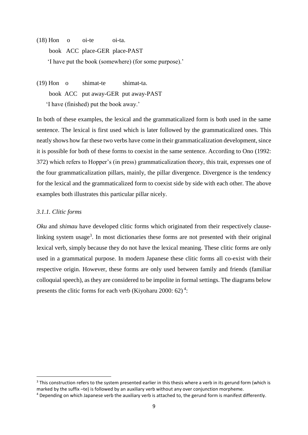- (18) Hon o oi-te oi-ta. book ACC place-GER place-PAST 'I have put the book (somewhere) (for some purpose).'
- (19) Hon o shimat-te shimat-ta. book ACC put away-GER put away-PAST 'I have (finished) put the book away.'

In both of these examples, the lexical and the grammaticalized form is both used in the same sentence. The lexical is first used which is later followed by the grammaticalized ones. This neatly shows how far these two verbs have come in their grammaticalization development, since it is possible for both of these forms to coexist in the same sentence. According to Ono (1992: 372) which refers to Hopper's (in press) grammaticalization theory, this trait, expresses one of the four grammaticalization pillars, mainly, the pillar divergence. Divergence is the tendency for the lexical and the grammaticalized form to coexist side by side with each other. The above examples both illustrates this particular pillar nicely.

#### <span id="page-16-0"></span>*3.1.1. Clitic forms*

**.** 

*Oku* and *shimau* have developed clitic forms which originated from their respectively clauselinking system usage<sup>3</sup>. In most dictionaries these forms are not presented with their original lexical verb, simply because they do not have the lexical meaning. These clitic forms are only used in a grammatical purpose. In modern Japanese these clitic forms all co-exist with their respective origin. However, these forms are only used between family and friends (familiar colloquial speech), as they are considered to be impolite in formal settings. The diagrams below presents the clitic forms for each verb (Kiyoharu 2000: 62)<sup>4</sup>:

 $3$  This construction refers to the system presented earlier in this thesis where a verb in its gerund form (which is marked by the suffix –te) is followed by an auxiliary verb without any over conjunction morpheme.

<sup>4</sup> Depending on which Japanese verb the auxiliary verb is attached to, the gerund form is manifest differently.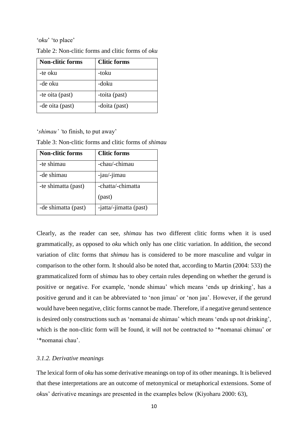#### '*oku*' 'to place'

| <b>Non-clitic forms</b> | <b>Clitic forms</b> |
|-------------------------|---------------------|
| -te oku                 | -toku               |
| -de oku                 | -doku               |
| -te oita (past)         | -toita (past)       |
| -de oita (past)         | -doita (past)       |

| Table 2: Non-clitic forms and clitic forms of <i>oku</i> |
|----------------------------------------------------------|
|----------------------------------------------------------|

'*shimau' '*to finish, to put away'

Table 3: Non-clitic forms and clitic forms of *shimau* 

| <b>Non-clitic forms</b> | <b>Clitic forms</b>    |
|-------------------------|------------------------|
| -te shimau              | -chau/-chimau          |
| -de shimau              | -jau/-jimau            |
| -te shimatta (past)     | -chatta/-chimatta      |
|                         | (past)                 |
| -de shimatta (past)     | -jatta/-jimatta (past) |

Clearly, as the reader can see, *shimau* has two different clitic forms when it is used grammatically, as opposed to *oku* which only has one clitic variation. In addition, the second variation of clitc forms that *shimau* has is considered to be more masculine and vulgar in comparison to the other form. It should also be noted that, according to Martin (2004: 533) the grammaticalized form of *shimau* has to obey certain rules depending on whether the gerund is positive or negative. For example, 'nonde shimau' which means 'ends up drinking', has a positive gerund and it can be abbreviated to 'non jimau' or 'non jau'. However, if the gerund would have been negative, clitic forms cannot be made. Therefore, if a negative gerund sentence is desired only constructions such as 'nomanai de shimau' which means 'ends up not drinking', which is the non-clitic form will be found, it will not be contracted to '\*nomanai chimau' or '\*nomanai chau'.

#### <span id="page-17-0"></span>*3.1.2. Derivative meanings*

The lexical form of *oku* hassome derivative meanings on top of its other meanings. It is believed that these interpretations are an outcome of metonymical or metaphorical extensions. Some of *oku*s' derivative meanings are presented in the examples below (Kiyoharu 2000: 63),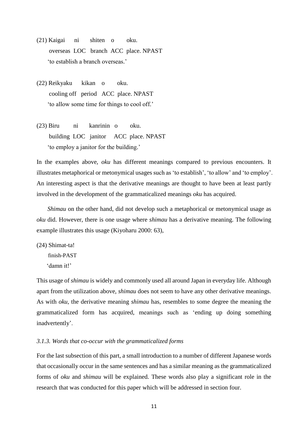- (21) Kaigai ni shiten o oku. overseas LOC branch ACC place. NPAST 'to establish a branch overseas.'
- (22) Reikyaku kikan o oku. cooling off period ACC place. NPAST 'to allow some time for things to cool off.'
- (23) Biru ni kanrinin o oku. building LOC janitor ACC place. NPAST 'to employ a janitor for the building.'

In the examples above, *oku* has different meanings compared to previous encounters. It illustrates metaphorical or metonymical usages such as 'to establish', 'to allow' and 'to employ'. An interesting aspect is that the derivative meanings are thought to have been at least partly involved in the development of the grammaticalized meanings *oku* has acquired.

*Shimau* on the other hand, did not develop such a metaphorical or metonymical usage as *oku* did. However, there is one usage where *shimau* has a derivative meaning. The following example illustrates this usage (Kiyoharu 2000: 63),

(24) Shimat-ta! finish-PAST 'damn it!'

This usage of *shimau* is widely and commonly used all around Japan in everyday life. Although apart from the utilization above, *shimau* does not seem to have any other derivative meanings. As with *oku*, the derivative meaning *shimau* has, resembles to some degree the meaning the grammaticalized form has acquired, meanings such as 'ending up doing something inadvertently'.

#### <span id="page-18-0"></span>*3.1.3. Words that co-occur with the grammaticalized forms*

For the last subsection of this part, a small introduction to a number of different Japanese words that occasionally occur in the same sentences and has a similar meaning as the grammaticalized forms of *oku* and *shimau* will be explained. These words also play a significant role in the research that was conducted for this paper which will be addressed in section four.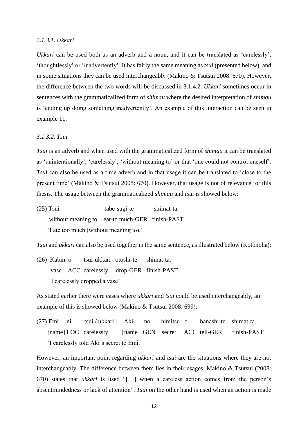#### <span id="page-19-0"></span>*3.1.3.1. Ukkari*

*Ukkari* can be used both as an adverb and a noun, and it can be translated as 'carelessly', 'thoughtlessly' or 'inadvertently'. It has fairly the same meaning as *tsui* (presented below), and in some situations they can be used interchangeably (Makino & Tsutsui 2008: 670). However, the difference between the two words will be discussed in 3.1.4.2. *Ukkari* sometimes occur in sentences with the grammaticalized form of *shimau* where the desired interpretation of *shimau*  is 'ending up doing something inadvertently'. An example of this interaction can be seen in example 11.

#### <span id="page-19-1"></span>*3.1.3.2. Tsui*

*Tsui* is an adverb and when used with the grammaticalized form of *shimau* it can be translated as 'unintentionally', 'carelessly', 'without meaning to' or that 'one could not control oneself'. *Tsui* can also be used as a time adverb and in that usage it can be translated to 'close to the present time' (Makino & Tsutsui 2008: 670). However, that usage is not of relevance for this thesis. The usage between the grammaticalized *shimau* and *tsui* is showed below:

(25) Tsui tabe-sugi-te shimat-ta. without meaning to eat-to much-GER finish-PAST 'I ate too much (without meaning to).'

*Tsui* and *ukkari* can also be used together in the same sentence, as illustrated below (Kotonoha):

(26) Kabin o tsui-ukkari otoshi-te shimat-ta. vase ACC carelessly drop-GER finish-PAST 'I carelessly dropped a vase'

As stated earlier there were cases where *ukkari* and *tsui* could be used interchangeably, an example of this is showed below (Makino & Tsutsui 2008: 699):

(27) Emi ni [tsui / ukkari ] Aki no himitsu o hanashi-te shimat-ta. [name] LOC carelessly [name] GEN secret ACC tell-GER finish-PAST 'I carelessly told Aki's secret to Emi.'

However, an important point regarding *ukkari* and *tsui* are the situations where they are not interchangeably. The difference between them lies in their usages. Makino & Tsutsui (2008: 670) states that *ukkari* is used "[…] when a careless action comes from the person's absentmindedness or lack of attention". *Tsui* on the other hand is used when an action is made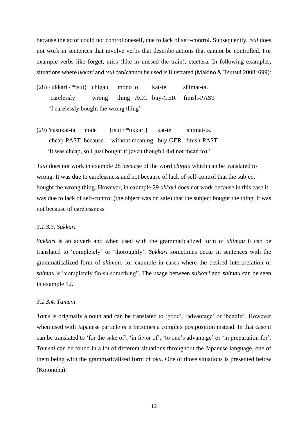because the actor could not control oneself, due to lack of self-control. Subsequently, *tsui* does not work in sentences that involve verbs that describe actions that cannot be controlled. For example verbs like forget, miss (like in missed the train), etcetera. In following examples, situations where *ukkari* and *tsui* can/cannot be used is illustrated (Makino & Tsutsui 2008: 699):

(28) {ukkari / \*tsui} chigau mono o kat-te shimat-ta. carelessly wrong thing ACC buy-GER finish-PAST 'I carelessly bought the wrong thing'

(29) Yasukat-ta node {tsui / \*ukkari} kat-te shimat-ta. cheap-PAST because without meaning buy-GER finish-PAST 'It was cheap, so I just bought it (even though I did not mean to).'

*Tsui* does not work in example 28 because of the word *chigau* which can be translated to wrong. It was due to carelessness and not because of lack of self-control that the subject bought the wrong thing. However, in example 29 *ukkari* does not work because in this case it was due to lack of self-control (the object was on sale) that the subject bought the thing, it was not because of carelessness.

#### <span id="page-20-0"></span>*3.1.3.3. Sukkari*

*Sukkari* is an adverb and when used with the grammaticalized form of *shimau* it can be translated to 'completely' or 'thoroughly'. *Sukkari* sometimes occur in sentences with the grammaticalized form of *shimau*, for example in cases where the desired interpretation of *shimau* is "completely finish something". The usage between *sukkari* and *shimau* can be seen in example 12.

#### <span id="page-20-1"></span>*3.1.3.4. Tameni*

*Tame* is originally a noun and can be translated to 'good', 'advantage' or 'benefit'. However when used with Japanese particle *ni* it becomes a complex postposition instead. In that case it can be translated to 'for the sake of', 'in favor of', 'to one's advantage' or 'in preparation for'. *Tameni* can be found in a lot of different situations throughout the Japanese language, one of them being with the grammaticalized form of *oku*. One of those situations is presented below (Kotonoha):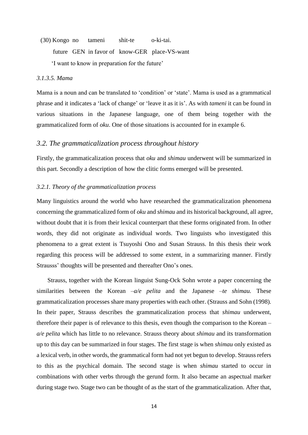(30) Kongo no tameni shit-te o-ki-tai. future GEN in favor of know-GER place-VS-want 'I want to know in preparation for the future'

#### <span id="page-21-0"></span>*3.1.3.5. Mama*

Mama is a noun and can be translated to 'condition' or 'state'. Mama is used as a grammatical phrase and it indicates a 'lack of change' or 'leave it as it is'. As with *tameni* it can be found in various situations in the Japanese language, one of them being together with the grammaticalized form of *oku*. One of those situations is accounted for in example 6.

#### <span id="page-21-1"></span>*3.2. The grammaticalization process throughout history*

Firstly, the grammaticalization process that *oku* and *shimau* underwent will be summarized in this part. Secondly a description of how the clitic forms emerged will be presented.

#### <span id="page-21-2"></span>*3.2.1. Theory of the grammaticalization process*

Many linguistics around the world who have researched the grammaticalization phenomena concerning the grammaticalized form of *oku* and *shimau* and its historical background, all agree, without doubt that it is from their lexical counterpart that these forms originated from. In other words, they did not originate as individual words. Two linguists who investigated this phenomena to a great extent is Tsuyoshi Ono and Susan Strauss. In this thesis their work regarding this process will be addressed to some extent, in a summarizing manner. Firstly Strausss' thoughts will be presented and thereafter Ono's ones.

 Strauss, together with the Korean linguist Sung-Ock Sohn wrote a paper concerning the similarities between the Korean *–a/e pelita* and the Japanese *–te shimau.* These grammaticalization processes share many properties with each other. (Strauss and Sohn (1998). In their paper, Strauss describes the grammaticalization process that *shimau* underwent, therefore their paper is of relevance to this thesis, even though the comparison to the Korean *– a/e pelita* which has little to no relevance. Strauss theory about *shimau* and its transformation up to this day can be summarized in four stages. The first stage is when *shimau* only existed as a lexical verb, in other words, the grammatical form had not yet begun to develop. Strauss refers to this as the psychical domain. The second stage is when *shimau* started to occur in combinations with other verbs through the gerund form. It also became an aspectual marker during stage two. Stage two can be thought of as the start of the grammaticalization. After that,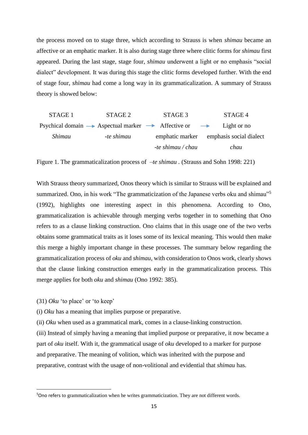the process moved on to stage three, which according to Strauss is when *shimau* became an affective or an emphatic marker. It is also during stage three where clitic forms for *shimau* first appeared. During the last stage, stage four, *shimau* underwent a light or no emphasis "social dialect" development. It was during this stage the clitic forms developed further. With the end of stage four, *shimau* had come a long way in its grammaticalization. A summary of Strauss theory is showed below:

| STAGE 1 | STAGE 2    | STAGE 3                                                                                  | STAGE 4                                 |
|---------|------------|------------------------------------------------------------------------------------------|-----------------------------------------|
|         |            | Psychical domain $\rightarrow$ Aspectual marker $\rightarrow$ Affective or $\rightarrow$ | Light or no                             |
| Shimau  | -te shimau |                                                                                          | emphatic marker emphasis social dialect |
|         |            | -te shimau / chau                                                                        | chau                                    |

Figure 1. The grammaticalization process of *–te shimau a* (Strauss and Sohn 1998: 221)

With Strauss theory summarized, Onos theory which is similar to Strauss will be explained and summarized. Ono, in his work "The grammaticization of the Japanese verbs oku and shimau"<sup>5</sup> (1992), highlights one interesting aspect in this phenomena. According to Ono, grammaticalization is achievable through merging verbs together in to something that Ono refers to as a clause linking construction. Ono claims that in this usage one of the two verbs obtains some grammatical traits as it loses some of its lexical meaning. This would then make this merge a highly important change in these processes. The summary below regarding the grammaticalization process of *oku* and *shimau,* with consideration to Onos work, clearly shows that the clause linking construction emerges early in the grammaticalization process. This merge applies for both *oku* and *shimau* (Ono 1992: 385).

(31) *Oku* 'to place' or 'to keep'

**.** 

(i) *Oku* has a meaning that implies purpose or preparative.

(ii) *Oku* when used as a grammatical mark, comes in a clause-linking construction.

(iii) Instead of simply having a meaning that implied purpose or preparative, it now became a part of *oku* itself. With it, the grammatical usage of *oku* developed to a marker for purpose and preparative. The meaning of volition, which was inherited with the purpose and preparative, contrast with the usage of non-volitional and evidential that *shimau* has.

<sup>&</sup>lt;sup>5</sup>Ono refers to grammaticalization when he writes grammaticization. They are not different words.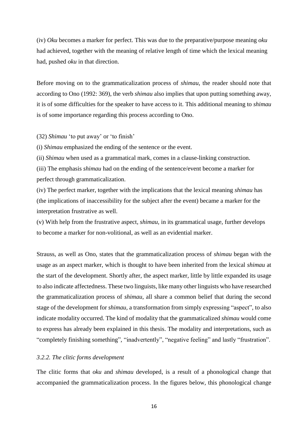(iv) *Oku* becomes a marker for perfect. This was due to the preparative/purpose meaning *oku*  had achieved, together with the meaning of relative length of time which the lexical meaning had, pushed *oku* in that direction.

Before moving on to the grammaticalization process of *shimau*, the reader should note that according to Ono (1992: 369), the verb *shimau* also implies that upon putting something away, it is of some difficulties for the speaker to have access to it. This additional meaning to *shimau*  is of some importance regarding this process according to Ono.

(32) *Shimau* 'to put away' or 'to finish'

(i) *Shimau* emphasized the ending of the sentence or the event.

(ii) *Shimau* when used as a grammatical mark, comes in a clause-linking construction.

(iii) The emphasis *shimau* had on the ending of the sentence/event become a marker for perfect through grammaticalization.

(iv) The perfect marker, together with the implications that the lexical meaning *shimau* has (the implications of inaccessibility for the subject after the event) became a marker for the interpretation frustrative as well.

(v) With help from the frustrative aspect, *shimau,* in its grammatical usage, further develops to become a marker for non-volitional, as well as an evidential marker.

Strauss, as well as Ono, states that the grammaticalization process of *shimau* began with the usage as an aspect marker, which is thought to have been inherited from the lexical *shimau* at the start of the development. Shortly after, the aspect marker, little by little expanded its usage to also indicate affectedness. These two linguists, like many other linguists who have researched the grammaticalization process of *shimau*, all share a common belief that during the second stage of the development for *shimau,* a transformation from simply expressing "aspect", to also indicate modality occurred. The kind of modality that the grammaticalized *shimau* would come to express has already been explained in this thesis. The modality and interpretations, such as "completely finishing something", "inadvertently", "negative feeling" and lastly "frustration".

#### <span id="page-23-0"></span>*3.2.2. The clitic forms development*

The clitic forms that *oku* and *shimau* developed, is a result of a phonological change that accompanied the grammaticalization process. In the figures below, this phonological change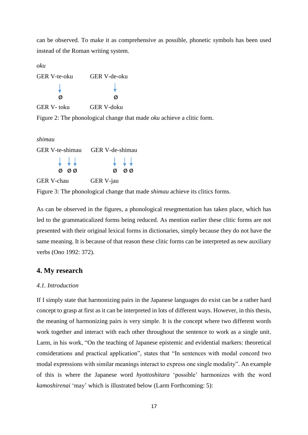can be observed. To make it as comprehensive as possible, phonetic symbols has been used instead of the Roman writing system.

*oku*

| <b>GER V-te-oku</b> | <b>GER V-de-oku</b> |  |
|---------------------|---------------------|--|
|                     |                     |  |
| Ø                   | Ø                   |  |
| GER V-toku          | GER V-doku          |  |

Figure 2: The phonological change that made *oku* achieve a clitic form.

| shimau                                 |                                        |
|----------------------------------------|----------------------------------------|
|                                        | GER V-te-shimau GER V-de-shimau        |
| $\downarrow$ $\downarrow$ $\downarrow$ | $\downarrow$ $\downarrow$ $\downarrow$ |
| ØQ                                     | Ø<br>øø                                |
| <b>GER V-chau</b>                      | GER V-jau                              |

Figure 3: The phonological change that made *shimau* achieve its clitics forms.

As can be observed in the figures, a phonological resegmentation has taken place, which has led to the grammaticalized forms being reduced. As mention earlier these clitic forms are not presented with their original lexical forms in dictionaries, simply because they do not have the same meaning. It is because of that reason these clitic forms can be interpreted as new auxiliary verbs (Ono 1992: 372).

#### <span id="page-24-0"></span>**4. My research**

#### <span id="page-24-1"></span>*4.1. Introduction*

If I simply state that harmonizing pairs in the Japanese languages do exist can be a rather hard concept to grasp at first as it can be interpreted in lots of different ways. However, in this thesis, the meaning of harmonizing pairs is very simple. It is the concept where two different words work together and interact with each other throughout the sentence to work as a single unit. Larm, in his work, "On the teaching of Japanese epistemic and evidential markers: theoretical considerations and practical application", states that "In sentences with modal concord two modal expressions with similar meanings interact to express one single modality". An example of this is where the Japanese word *hyottoshitara* 'possible' harmonizes with the word *kamoshirenai* 'may' which is illustrated below (Larm Forthcoming: 5):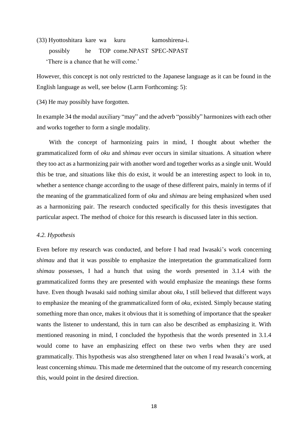(33) Hyottoshitara kare wa kuru kamoshirena-i. possibly he TOP come.NPAST SPEC-NPAST 'There is a chance that he will come.'

However, this concept is not only restricted to the Japanese language as it can be found in the English language as well, see below (Larm Forthcoming: 5):

(34) He may possibly have forgotten.

In example 34 the modal auxiliary "may" and the adverb "possibly" harmonizes with each other and works together to form a single modality.

 With the concept of harmonizing pairs in mind, I thought about whether the grammaticalized form of *oku* and *shimau* ever occurs in similar situations. A situation where they too act as a harmonizing pair with another word and together works as a single unit. Would this be true, and situations like this do exist, it would be an interesting aspect to look in to, whether a sentence change according to the usage of these different pairs, mainly in terms of if the meaning of the grammaticalized form of *oku* and *shimau* are being emphasized when used as a harmonizing pair. The research conducted specifically for this thesis investigates that particular aspect. The method of choice for this research is discussed later in this section.

#### <span id="page-25-0"></span>*4.2. Hypothesis*

Even before my research was conducted, and before I had read Iwasaki's work concerning *shimau* and that it was possible to emphasize the interpretation the grammaticalized form *shimau* possesses, I had a hunch that using the words presented in 3.1.4 with the grammaticalized forms they are presented with would emphasize the meanings these forms have. Even though Iwasaki said nothing similar about *oku*, I still believed that different ways to emphasize the meaning of the grammaticalized form of *oku,* existed*.* Simply because stating something more than once, makes it obvious that it is something of importance that the speaker wants the listener to understand, this in turn can also be described as emphasizing it. With mentioned reasoning in mind, I concluded the hypothesis that the words presented in 3.1.4 would come to have an emphasizing effect on these two verbs when they are used grammatically. This hypothesis was also strengthened later on when I read Iwasaki's work, at least concerning *shimau*. This made me determined that the outcome of my research concerning this, would point in the desired direction.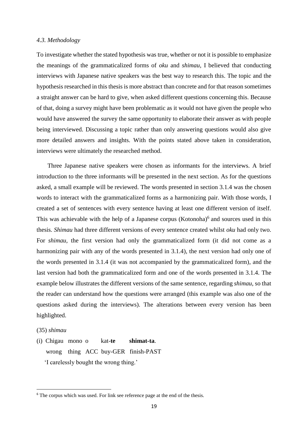#### <span id="page-26-0"></span>*4.3. Methodology*

To investigate whether the stated hypothesis was true, whether or not it is possible to emphasize the meanings of the grammaticalized forms of *oku* and *shimau*, I believed that conducting interviews with Japanese native speakers was the best way to research this. The topic and the hypothesis researched in this thesis is more abstract than concrete and for that reason sometimes a straight answer can be hard to give, when asked different questions concerning this. Because of that, doing a survey might have been problematic as it would not have given the people who would have answered the survey the same opportunity to elaborate their answer as with people being interviewed. Discussing a topic rather than only answering questions would also give more detailed answers and insights. With the points stated above taken in consideration, interviews were ultimately the researched method.

 Three Japanese native speakers were chosen as informants for the interviews. A brief introduction to the three informants will be presented in the next section. As for the questions asked, a small example will be reviewed. The words presented in section 3.1.4 was the chosen words to interact with the grammaticalized forms as a harmonizing pair. With those words, I created a set of sentences with every sentence having at least one different version of itself. This was achievable with the help of a Japanese corpus (Kotonoha)<sup>6</sup> and sources used in this thesis. *Shimau* had three different versions of every sentence created whilst *oku* had only two. For *shimau,* the first version had only the grammaticalized form (it did not come as a harmonizing pair with any of the words presented in 3.1.4), the next version had only one of the words presented in 3.1.4 (it was not accompanied by the grammaticalized form), and the last version had both the grammaticalized form and one of the words presented in 3.1.4. The example below illustrates the different versions of the same sentence, regarding *shimau*, so that the reader can understand how the questions were arranged (this example was also one of the questions asked during the interviews). The alterations between every version has been highlighted.

#### (35) *shimau*

**.** 

(i) Chigau mono o kat-**te shimat-ta**. wrong thing ACC buy-GER finish-PAST 'I carelessly bought the wrong thing.'

 $6$  The corpus which was used. For link see reference page at the end of the thesis.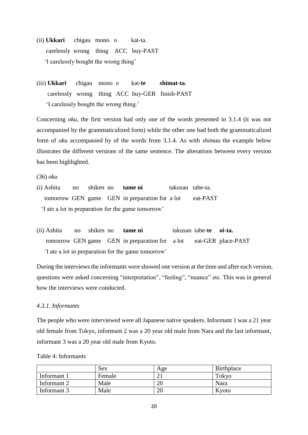- (ii) **Ukkari** chigau mono o kat-ta. carelessly wrong thing ACC buy-PAST 'I carelessly bought the wrong thing'
- (iii) **Ukkari** chigau mono o kat-**te shimat-ta**. carelessly wrong thing ACC buy-GER finish-PAST 'I carelessly bought the wrong thing.'

Concerning *oku,* the first version had only one of the words presented in 3.1.4 (it was not accompanied by the grammaticalized form) while the other one had both the grammaticalized form of *oku* accompanied by of the words from 3.1.4. As with *shimau* the example below illustrates the different versions of the same sentence. The alterations between every version has been highlighted.

(36) *oku*

- (i) Ashita no shiken no **tame ni** takusan tabe-ta. tomorrow GEN game GEN in preparation for a lot eat-PAST 'I ate a lot in preparation for the game tomorrow'
- (ii) Ashita no shiken no **tame ni** takusan tabe-**te oi-ta.** tomorrow GEN game GEN in preparation for a lot eat-GER place-PAST 'I ate a lot in preparation for the game tomorrow'

During the interviews the informants were showed one version at the time and after each version, questions were asked concerning "interpretation", "feeling", "nuance" etc. This was in general how the interviews were conducted.

#### <span id="page-27-0"></span>*4.3.1. Informants*

The people who were interviewed were all Japanese native speakers. Informant 1 was a 21 year old female from Tokyo, informant 2 was a 20 year old male from Nara and the last informant, informant 3 was a 20 year old male from Kyoto.

|             | Sex    | Age | Birthplace |
|-------------|--------|-----|------------|
| Informant 1 | Female |     | Tokyo      |
| Informant 2 | Male   | 20  | Nara       |
| Informant 3 | Male   | 20  | Kyoto      |

Table 4: Informants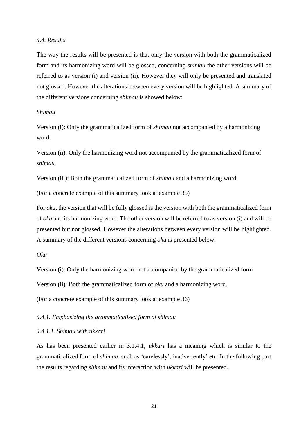#### <span id="page-28-0"></span>*4.4. Results*

The way the results will be presented is that only the version with both the grammaticalized form and its harmonizing word will be glossed, concerning *shimau* the other versions will be referred to as version (i) and version (ii). However they will only be presented and translated not glossed. However the alterations between every version will be highlighted. A summary of the different versions concerning *shimau* is showed below:

#### *Shimau*

Version (i): Only the grammaticalized form of *shimau* not accompanied by a harmonizing word.

Version (ii): Only the harmonizing word not accompanied by the grammaticalized form of *shimau.*

Version (iii): Both the grammaticalized form of *shimau* and a harmonizing word.

(For a concrete example of this summary look at example 35)

For *oku,* the version that will be fully glossed is the version with both the grammaticalized form of *oku* and its harmonizing word. The other version will be referred to as version (i) and will be presented but not glossed. However the alterations between every version will be highlighted. A summary of the different versions concerning *oku* is presented below:

#### *Oku*

Version (i): Only the harmonizing word not accompanied by the grammaticalized form

Version (ii): Both the grammaticalized form of *oku* and a harmonizing word.

(For a concrete example of this summary look at example 36)

#### <span id="page-28-1"></span>*4.4.1. Emphasizing the grammaticalized form of shimau*

#### <span id="page-28-2"></span>*4.4.1.1. Shimau with ukkari*

As has been presented earlier in 3.1.4.1, *ukkari* has a meaning which is similar to the grammaticalized form of *shimau,* such as 'carelessly', inadvertently' etc. In the following part the results regarding *shimau* and its interaction with *ukkari* will be presented.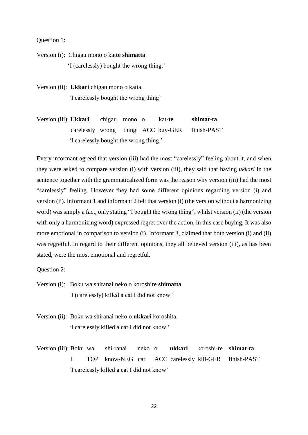Question 1:

Version (i): Chigau mono o kat**te shimatta**. 'I (carelessly) bought the wrong thing.'

Version (ii): **Ukkari** chigau mono o katta. 'I carelessly bought the wrong thing'

Version (iii): **Ukkari** chigau mono o kat**-te shimat-ta**. carelessly wrong thing ACC buy-GER finish-PAST 'I carelessly bought the wrong thing.'

Every informant agreed that version (iii) had the most "carelessly" feeling about it, and when they were asked to compare version (i) with version (iii), they said that having *ukkari* in the sentence together with the grammaticalized form was the reason why version (iii) had the most "carelessly" feeling. However they had some different opinions regarding version (i) and version (ii). Informant 1 and informant 2 felt that version (i) (the version without a harmonizing word) was simply a fact, only stating "I bought the wrong thing", whilst version (ii) (the version with only a harmonizing word) expressed regret over the action, in this case buying. It was also more emotional in comparison to version (i). Informant 3, claimed that both version (i) and (ii) was regretful. In regard to their different opinions, they all believed version (iii), as has been stated, were the most emotional and regretful.

Question 2:

Version (i): Boku wa shiranai neko o koroshi**te shimatta** 'I (carelessly) killed a cat I did not know.'

Version (ii): Boku wa shiranai neko o **ukkari** koroshita. 'I carelessly killed a cat I did not know.'

Version (iii): Boku wa shi-ranai neko o **ukkari** koroshi**-te shimat-ta**. I TOP know-NEG cat ACC carelessly kill-GER finish-PAST 'I carelessly killed a cat I did not know'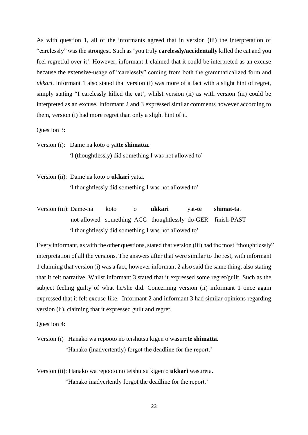As with question 1, all of the informants agreed that in version (iii) the interpretation of "carelessly" was the strongest. Such as 'you truly **carelessly/accidentally** killed the cat and you feel regretful over it'. However, informant 1 claimed that it could be interpreted as an excuse because the extensive-usage of "carelessly" coming from both the grammaticalized form and *ukkari*. Informant 1 also stated that version (i) was more of a fact with a slight hint of regret, simply stating "I carelessly killed the cat', whilst version (ii) as with version (iii) could be interpreted as an excuse. Informant 2 and 3 expressed similar comments however according to them, version (i) had more regret than only a slight hint of it.

Question 3:

Version (i): Dame na koto o yat**te shimatta.**

'I (thoughtlessly) did something I was not allowed to'

Version (ii): Dame na koto o **ukkari** yatta.

'I thoughtlessly did something I was not allowed to'

Version (iii): Dame-na koto o **ukkari** yat**-te shimat-ta**. not-allowed something ACC thoughtlessly do-GER finish-PAST 'I thoughtlessly did something I was not allowed to'

Every informant, as with the other questions, stated that version (iii) had the most "thoughtlessly" interpretation of all the versions. The answers after that were similar to the rest, with informant 1 claiming that version (i) was a fact, however informant 2 also said the same thing, also stating that it felt narrative. Whilst informant 3 stated that it expressed some regret/guilt. Such as the subject feeling guilty of what he/she did. Concerning version (ii) informant 1 once again expressed that it felt excuse-like. Informant 2 and informant 3 had similar opinions regarding version (ii), claiming that it expressed guilt and regret.

Question 4:

Version (i) Hanako wa repooto no teishutsu kigen o wasure**te shimatta.** 'Hanako (inadvertently) forgot the deadline for the report.'

Version (ii): Hanako wa repooto no teishutsu kigen o **ukkari** wasureta. 'Hanako inadvertently forgot the deadline for the report.'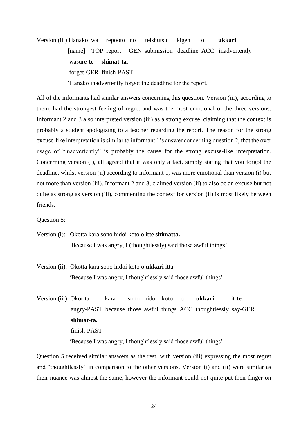Version (iii) Hanako wa repooto no teishutsu kigen o **ukkari**  [name] TOP report GEN submission deadline ACC inadvertently wasure**-te shimat-ta**. forget-GER finish-PAST 'Hanako inadvertently forgot the deadline for the report.'

All of the informants had similar answers concerning this question. Version (iii), according to them, had the strongest feeling of regret and was the most emotional of the three versions. Informant 2 and 3 also interpreted version (iii) as a strong excuse, claiming that the context is probably a student apologizing to a teacher regarding the report. The reason for the strong excuse-like interpretation is similar to informant 1's answer concerning question 2, that the over usage of "inadvertently" is probably the cause for the strong excuse-like interpretation. Concerning version (i), all agreed that it was only a fact, simply stating that you forgot the deadline, whilst version (ii) according to informant 1, was more emotional than version (i) but not more than version (iii). Informant 2 and 3, claimed version (ii) to also be an excuse but not quite as strong as version (iii), commenting the context for version (ii) is most likely between friends.

Question 5:

Version (i): Okotta kara sono hidoi koto o it**te shimatta.** 'Because I was angry, I (thoughtlessly) said those awful things'

Version (ii): Okotta kara sono hidoi koto o **ukkari** itta. 'Because I was angry, I thoughtlessly said those awful things'

Version (iii): Okot-ta kara sono hidoi koto o **ukkari** it**-te**  angry-PAST because those awful things ACC thoughtlessly say-GER  **shimat-ta.** finish-PAST 'Because I was angry, I thoughtlessly said those awful things'

Question 5 received similar answers as the rest, with version (iii) expressing the most regret and "thoughtlessly" in comparison to the other versions. Version (i) and (ii) were similar as their nuance was almost the same, however the informant could not quite put their finger on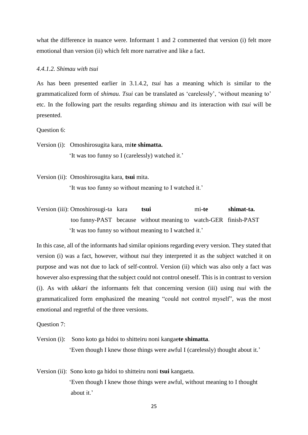what the difference in nuance were. Informant 1 and 2 commented that version (i) felt more emotional than version (ii) which felt more narrative and like a fact.

#### <span id="page-32-0"></span>*4.4.1.2. Shimau with tsui*

As has been presented earlier in 3.1.4.2, *tsui* has a meaning which is similar to the grammaticalized form of *shimau. Tsui* can be translated as 'carelessly', 'without meaning to' etc. In the following part the results regarding *shimau* and its interaction with *tsui* will be presented.

Question 6:

Version (i): Omoshirosugita kara, mi**te shimatta.** 'It was too funny so I (carelessly) watched it.'

Version (ii): Omoshirosugita kara, **tsui** mita. 'It was too funny so without meaning to I watched it.'

Version (iii): Omoshirosugi-ta kara **tsui** mi**-te shimat-ta.** too funny-PAST because without meaning to watch-GER finish-PAST 'It was too funny so without meaning to I watched it.'

In this case, all of the informants had similar opinions regarding every version. They stated that version (i) was a fact, however, without *tsui* they interpreted it as the subject watched it on purpose and was not due to lack of self-control. Version (ii) which was also only a fact was however also expressing that the subject could not control oneself. This is in contrast to version (i). As with *ukkari* the informants felt that concerning version (iii) using *tsui* with the grammaticalized form emphasized the meaning "could not control myself", was the most emotional and regretful of the three versions.

Question 7:

- Version (i): Sono koto ga hidoi to shitteiru noni kangae**te shimatta**. 'Even though I knew those things were awful I (carelessly) thought about it.'
- Version (ii): Sono koto ga hidoi to shitteiru noni **tsui** kangaeta. 'Even though I knew those things were awful, without meaning to I thought about it.'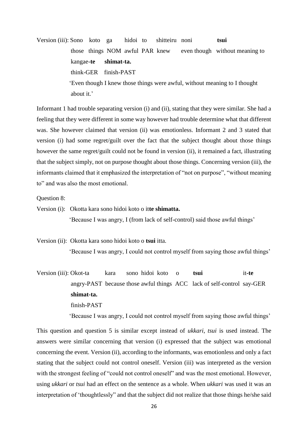Version (iii): Sono koto ga hidoi to shitteiru noni **tsui**  those things NOM awful PAR knew even though without meaning to kangae-**te shimat-ta.** think-GER finish-PAST 'Even though I knew those things were awful, without meaning to I thought about it.'

Informant 1 had trouble separating version (i) and (ii), stating that they were similar. She had a feeling that they were different in some way however had trouble determine what that different was. She however claimed that version (ii) was emotionless. Informant 2 and 3 stated that version (i) had some regret/guilt over the fact that the subject thought about those things however the same regret/guilt could not be found in version (ii), it remained a fact, illustrating that the subject simply, not on purpose thought about those things. Concerning version (iii), the informants claimed that it emphasized the interpretation of "not on purpose", "without meaning to" and was also the most emotional.

#### Question 8:

Version (i): Okotta kara sono hidoi koto o it**te shimatta.**

'Because I was angry, I (from lack of self-control) said those awful things'

Version (ii): Okotta kara sono hidoi koto o **tsui** itta. 'Because I was angry, I could not control myself from saying those awful things'

Version (iii): Okot-ta kara sono hidoi koto o **tsui** it**-te** angry-PAST because those awful things ACC lack of self-control say-GER **shimat-ta.** finish-PAST

'Because I was angry, I could not control myself from saying those awful things'

This question and question 5 is similar except instead of *ukkari*, *tsui* is used instead. The answers were similar concerning that version (i) expressed that the subject was emotional concerning the event. Version (ii), according to the informants, was emotionless and only a fact stating that the subject could not control oneself. Version (iii) was interpreted as the version with the strongest feeling of "could not control oneself" and was the most emotional. However, using *ukkari* or *tsui* had an effect on the sentence as a whole. When *ukkari* was used it was an interpretation of 'thoughtlessly" and that the subject did not realize that those things he/she said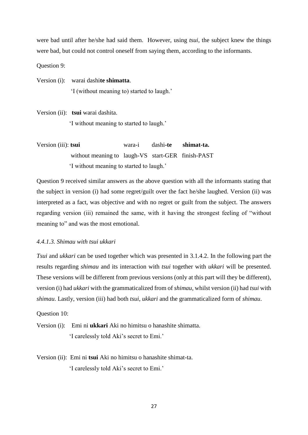were bad until after he/she had said them. However, using *tsui*, the subject knew the things were bad, but could not control oneself from saying them*,* according to the informants.

Question 9:

Version (i): warai dashi**te shimatta**. 'I (without meaning to) started to laugh.'

Version (ii): **tsui** warai dashita. 'I without meaning to started to laugh.'

Version (iii): **tsui** wara-i dashi**-te shimat-ta.** without meaning to laugh-VS start-GER finish-PAST 'I without meaning to started to laugh.'

Question 9 received similar answers as the above question with all the informants stating that the subject in version (i) had some regret/guilt over the fact he/she laughed. Version (ii) was interpreted as a fact, was objective and with no regret or guilt from the subject. The answers regarding version (iii) remained the same, with it having the strongest feeling of "without meaning to" and was the most emotional.

#### <span id="page-34-0"></span>*4.4.1.3. Shimau with tsui ukkari*

*Tsui* and *ukkari* can be used together which was presented in 3.1.4.2. In the following part the results regarding *shimau* and its interaction with *tsui* together with *ukkari* will be presented. These versions will be different from previous versions (only at this part will they be different), version (i) had *ukkari* with the grammaticalized from of *shimau*, whilst version (ii) had *tsui* with *shimau*. Lastly, version (iii) had both *tsui*, *ukkari* and the grammaticalized form of *shimau*.

Question 10:

Version (i): Emi ni **ukkari** Aki no himitsu o hanashite shimatta. 'I carelessly told Aki's secret to Emi.'

Version (ii): Emi ni **tsui** Aki no himitsu o hanashite shimat-ta. 'I carelessly told Aki's secret to Emi.'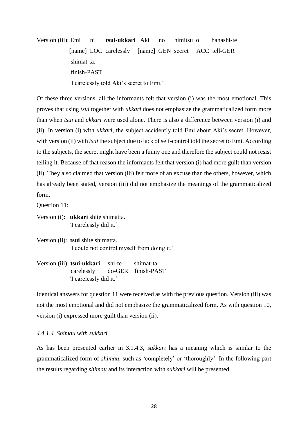Version (iii): Emi ni **tsui-ukkari** Aki no himitsu o hanashi**-**te [name] LOC carelessly [name] GEN secret ACC tell-GER shimat-ta. finish-PAST 'I carelessly told Aki's secret to Emi.'

Of these three versions, all the informants felt that version (i) was the most emotional. This proves that using *tsui* together with *ukkari* does not emphasize the grammaticalized form more than when *tsui* and *ukkari* were used alone. There is also a difference between version (i) and (ii). In version (i) with *ukkari*, the subject accidently told Emi about Aki's secret. However, with version (ii) with *tsui* the subject due to lack of self-control told the secret to Emi. According to the subjects, the secret might have been a funny one and therefore the subject could not resist telling it. Because of that reason the informants felt that version (i) had more guilt than version (ii). They also claimed that version (iii) felt more of an excuse than the others, however, which has already been stated, version (iii) did not emphasize the meanings of the grammaticalized form.

Question 11:

Version (i): **ukkari** shite shimatta. 'I carelessly did it.'

Version (ii): **tsui** shite shimatta. 'I could not control myself from doing it.'

Version (iii): **tsui-ukkari** shi-te shimat-ta. carelessly do-GER finish-PAST 'I carelessly did it.'

Identical answers for question 11 were received as with the previous question. Version (iii) was not the most emotional and did not emphasize the grammaticalized form. As with question 10, version (i) expressed more guilt than version (ii).

#### <span id="page-35-0"></span>*4.4.1.4. Shimau with sukkari*

As has been presented earlier in 3.1.4.3, *sukkari* has a meaning which is similar to the grammaticalized form of *shimau,* such as 'completely' or 'thoroughly'. In the following part the results regarding *shimau* and its interaction with *sukkari* will be presented.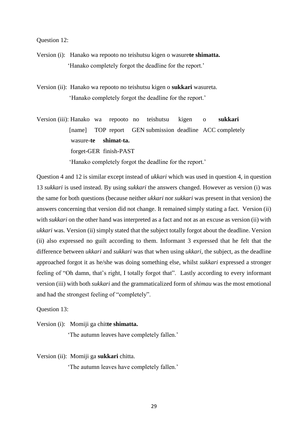Question 12:

- Version (i): Hanako wa repooto no teishutsu kigen o wasure**te shimatta.** 'Hanako completely forgot the deadline for the report.'
- Version (ii): Hanako wa repooto no teishutsu kigen o **sukkari** wasureta. 'Hanako completely forgot the deadline for the report.'

Version (iii): Hanako wa repooto no teishutsu kigen o **sukkari** [name] TOP report GEN submission deadline ACC completely ……………..wasure-**te shimat-ta.**  forget-GER finish-PAST 'Hanako completely forgot the deadline for the report.'

Question 4 and 12 is similar except instead of *ukkari* which was used in question 4, in question 13 *sukkari* is used instead. By using *sukkari* the answers changed. However as version (i) was the same for both questions (because neither *ukkari* nor *sukkari* was present in that version) the answers concerning that version did not change. It remained simply stating a fact. Version (ii) with *sukkari* on the other hand was interpreted as a fact and not as an excuse as version (ii) with *ukkari* was. Version (ii) simply stated that the subject totally forgot about the deadline. Version (ii) also expressed no guilt according to them. Informant 3 expressed that he felt that the difference between *ukkari* and *sukkari* was that when using *ukkari,* the subject, as the deadline approached forgot it as he/she was doing something else, whilst *sukkari* expressed a stronger feeling of "Oh damn, that's right, I totally forgot that". Lastly according to every informant version (iii) with both *sukkari* and the grammaticalized form of *shimau* was the most emotional and had the strongest feeling of "completely".

Question 13:

Version (i): Momiji ga chit**te shimatta.** 'The autumn leaves have completely fallen.'

Version (ii): Momiji ga **sukkari** chitta.

'The autumn leaves have completely fallen.'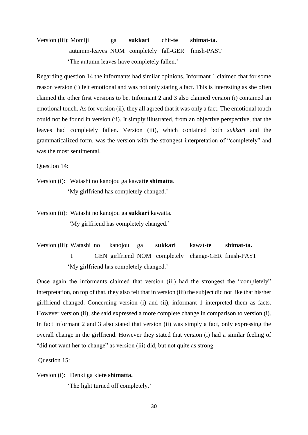Version (iii): Momiji ga **sukkari** chit-**te shimat-ta.** autumm-leaves NOM completely fall-GER finish-PAST 'The autumn leaves have completely fallen.'

Regarding question 14 the informants had similar opinions. Informant 1 claimed that for some reason version (i) felt emotional and was not only stating a fact. This is interesting as she often claimed the other first versions to be. Informant 2 and 3 also claimed version (i) contained an emotional touch. As for version (ii), they all agreed that it was only a fact. The emotional touch could not be found in version (ii). It simply illustrated, from an objective perspective, that the leaves had completely fallen. Version (iii), which contained both *sukkari* and the grammaticalized form, was the version with the strongest interpretation of "completely" and was the most sentimental.

Question 14:

Version (i): Watashi no kanojou ga kawat**te shimatta**. 'My girlfriend has completely changed.'

Version (ii): Watashi no kanojou ga **sukkari** kawatta. 'My girlfriend has completely changed.'

Version (iii): Watashi no kanojou ga **sukkari** kawat**-te shimat-ta.** I GEN girlfriend NOM completely change-GER finish-PAST 'My girlfriend has completely changed.'

Once again the informants claimed that version (iii) had the strongest the "completely" interpretation, on top of that, they also felt that in version (iii) the subject did not like that his/her girlfriend changed. Concerning version (i) and (ii), informant 1 interpreted them as facts. However version (ii), she said expressed a more complete change in comparison to version (i). In fact informant 2 and 3 also stated that version (ii) was simply a fact, only expressing the overall change in the girlfriend. However they stated that version (i) had a similar feeling of "did not want her to change" as version (iii) did, but not quite as strong.

Question 15:

Version (i): Denki ga kie**te shimatta.**

'The light turned off completely.'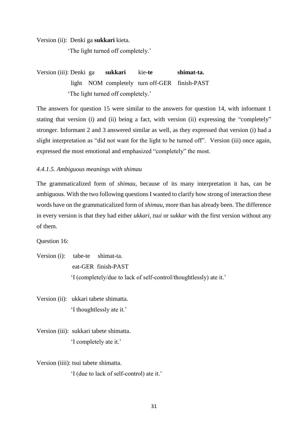Version (ii): Denki ga **sukkari** kieta.

'The light turned off completely.'

Version (iii): Denki ga **sukkari** kie**-te shimat-ta.** light NOM completely turn off-GER finish-PAST 'The light turned off completely.'

The answers for question 15 were similar to the answers for question 14, with informant 1 stating that version (i) and (ii) being a fact, with version (ii) expressing the "completely" stronger. Informant 2 and 3 answered similar as well, as they expressed that version (i) had a slight interpretation as "did not want for the light to be turned off". Version (iii) once again, expressed the most emotional and emphasized "completely" the most.

#### <span id="page-38-0"></span>*4.4.1.5. Ambiguous meanings with shimau*

The grammaticalized form of *shimau,* because of its many interpretation it has, can be ambiguous. With the two following questions I wanted to clarify how strong of interaction these words have on the grammaticalized form of *shimau*, more than has already been. The difference in every version is that they had either *ukkari, tsui* or *sukkar* with the first version without any of them.

Question 16:

Version (i): tabe-te shimat-ta. eat-GER finish-PAST 'I (completely/due to lack of self-control/thoughtlessly) ate it.'

Version (ii): ukkari tabete shimatta. 'I thoughtlessly ate it.'

Version (iii): sukkari tabete shimatta. 'I completely ate it.'

Version (iiii): tsui tabete shimatta.

'I (due to lack of self-control) ate it.'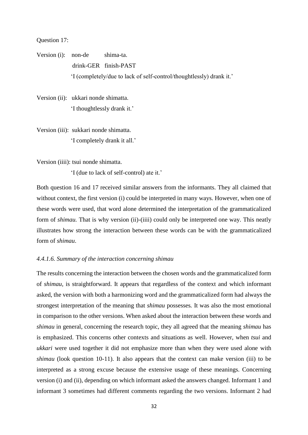#### Question 17:

Version (i): non-de shima-ta. drink-GER finish-PAST 'I (completely/due to lack of self-control/thoughtlessly) drank it.'

Version (ii): ukkari nonde shimatta. 'I thoughtlessly drank it.'

Version (iii): sukkari nonde shimatta. 'I completely drank it all.'

Version (iiii): tsui nonde shimatta.

'I (due to lack of self-control) ate it.'

Both question 16 and 17 received similar answers from the informants. They all claimed that without context, the first version (i) could be interpreted in many ways. However, when one of these words were used, that word alone determined the interpretation of the grammaticalized form of *shimau*. That is why version (ii)-(iiii) could only be interpreted one way. This neatly illustrates how strong the interaction between these words can be with the grammaticalized form of *shimau*.

#### <span id="page-39-0"></span>*4.4.1.6. Summary of the interaction concerning shimau*

The results concerning the interaction between the chosen words and the grammaticalized form of *shimau,* is straightforward. It appears that regardless of the context and which informant asked, the version with both a harmonizing word and the grammaticalized form had always the strongest interpretation of the meaning that *shimau* possesses*.* It was also the most emotional in comparison to the other versions. When asked about the interaction between these words and *shimau* in general, concerning the research topic, they all agreed that the meaning *shimau* has is emphasized. This concerns other contexts and situations as well. However, when *tsui* and *ukkari* were used together it did not emphasize more than when they were used alone with *shimau* (look question 10-11). It also appears that the context can make version (iii) to be interpreted as a strong excuse because the extensive usage of these meanings. Concerning version (i) and (ii), depending on which informant asked the answers changed. Informant 1 and informant 3 sometimes had different comments regarding the two versions. Informant 2 had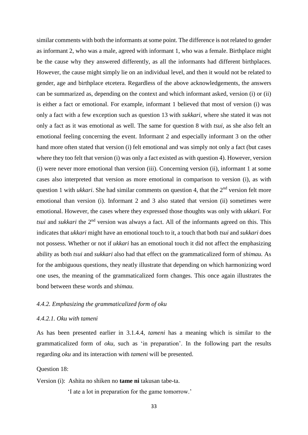similar comments with both the informants at some point. The difference is not related to gender as informant 2, who was a male, agreed with informant 1, who was a female. Birthplace might be the cause why they answered differently, as all the informants had different birthplaces. However, the cause might simply lie on an individual level, and then it would not be related to gender, age and birthplace etcetera. Regardless of the above acknowledgements, the answers can be summarized as, depending on the context and which informant asked, version (i) or (ii) is either a fact or emotional. For example, informant 1 believed that most of version (i) was only a fact with a few exception such as question 13 with *sukkari*, where she stated it was not only a fact as it was emotional as well. The same for question 8 with *tsui,* as she also felt an emotional feeling concerning the event. Informant 2 and especially informant 3 on the other hand more often stated that version (i) felt emotional and was simply not only a fact (but cases where they too felt that version (i) was only a fact existed as with question 4). However, version (i) were never more emotional than version (iii). Concerning version (ii), informant 1 at some cases also interpreted that version as more emotional in comparison to version (i), as with question 1 with *ukkari*. She had similar comments on question 4, that the 2<sup>nd</sup> version felt more emotional than version (i). Informant 2 and 3 also stated that version (ii) sometimes were emotional. However, the cases where they expressed those thoughts was only with *ukkari.* For *tsui* and *sukkari* the 2<sup>nd</sup> version was always a fact. All of the informants agreed on this. This indicates that *ukkari* might have an emotional touch to it, a touch that both *tsui* and *sukkari* does not possess. Whether or not if *ukkari* has an emotional touch it did not affect the emphasizing ability as both *tsui* and *sukkari* also had that effect on the grammaticalized form of *shimau.* As for the ambiguous questions, they neatly illustrate that depending on which harmonizing word one uses, the meaning of the grammaticalized form changes. This once again illustrates the bond between these words and *shimau.* 

#### <span id="page-40-0"></span>*4.4.2. Emphasizing the grammaticalized form of oku*

#### <span id="page-40-1"></span>*4.4.2.1. Oku with tameni*

As has been presented earlier in 3.1.4.4, *tameni* has a meaning which is similar to the grammaticalized form of *oku,* such as 'in preparation'. In the following part the results regarding *oku* and its interaction with *tameni* will be presented.

Question 18:

Version (i): Ashita no shiken no **tame ni** takusan tabe-ta.

'I ate a lot in preparation for the game tomorrow.'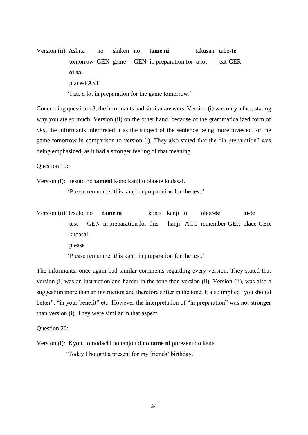Version (ii): Ashita no shiken no **tame ni** takusan tabe-**te**  tomorrow GEN game GEN in preparation for a lot eat-GER  **oi-ta.** place-PAST 'I ate a lot in preparation for the game tomorrow.'

Concerning question 18, the informants had similar answers. Version (i) was only a fact, stating why you ate so much. Version (ii) on the other hand, because of the grammaticalized form of *oku,* the informants interpreted it as the subject of the sentence being more invested for the game tomorrow in comparison to version (i). They also stated that the "in preparation" was being emphasized, as it had a stronger feeling of that meaning.

Question 19:

Version (i): tesuto no **tameni** kono kanji o oboete kudasai.

'Please remember this kanji in preparation for the test.'

Version (ii): tesuto no **tame ni** kono kanji o oboe**-te oi-te** test GEN in preparation for this kanji ACC remember-GER place-GER kudasai. please 'Please remember this kanji in preparation for the test.'

The informants, once again had similar comments regarding every version. They stated that version (i) was an instruction and harder in the tone than version (ii). Version (ii), was also a suggestion more than an instruction and therefore softer in the tone. It also implied "you should better", "in your benefit" etc. However the interpretation of "in preparation" was not stronger than version (i). They were similar in that aspect.

Question 20:

Version (i): Kyou, tomodachi no tanjoubi no **tame ni** purezento o katta.

'Today I bought a present for my friends' birthday.'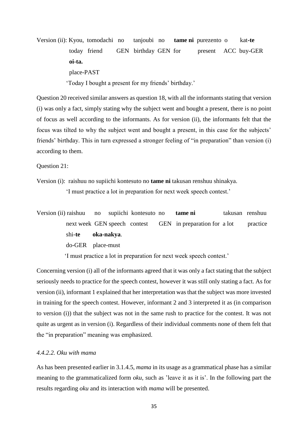Version (ii): Kyou, tomodachi no tanjoubi no **tame ni** purezento o kat**-te**  today friend GEN birthday GEN for present ACC buy-GER **oi-ta.** place-PAST 'Today I bought a present for my friends' birthday.'

Question 20 received similar answers as question 18, with all the informants stating that version (i) was only a fact, simply stating why the subject went and bought a present, there is no point of focus as well according to the informants. As for version (ii), the informants felt that the focus was tilted to why the subject went and bought a present, in this case for the subjects' friends' birthday. This in turn expressed a stronger feeling of "in preparation" than version (i) according to them.

Question 21:

Version (i): raishuu no supiichi kontesuto no **tame ni** takusan renshuu shinakya.

'I must practice a lot in preparation for next week speech contest.'

Version (ii) raishuu no supiichi kontesuto no **tame ni** takusan renshuu next week GEN speech contest GEN in preparation for a lot practice shi-**te oka-nakya**. do-GER place-must

'I must practice a lot in preparation for next week speech contest.'

Concerning version (i) all of the informants agreed that it was only a fact stating that the subject seriously needs to practice for the speech contest, however it was still only stating a fact. As for version (ii), informant 1 explained that her interpretation was that the subject was more invested in training for the speech contest. However, informant 2 and 3 interpreted it as (in comparison to version (i)) that the subject was not in the same rush to practice for the contest. It was not quite as urgent as in version (i). Regardless of their individual comments none of them felt that the "in preparation" meaning was emphasized.

#### <span id="page-42-0"></span>*4.4.2.2. Oku with mama*

As has been presented earlier in 3.1.4.5, *mama* in its usage as a grammatical phase has a similar meaning to the grammaticalized form *oku,* such as 'leave it as it is'. In the following part the results regarding *oku* and its interaction with *mama* will be presented.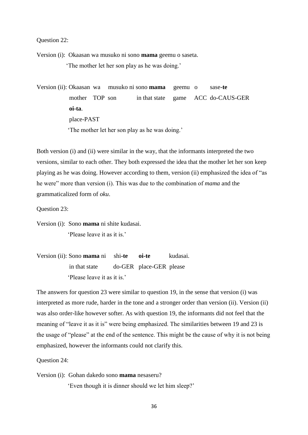Question 22:

Version (i): Okaasan wa musuko ni sono **mama** geemu o saseta. 'The mother let her son play as he was doing.'

Version (ii): Okaasan wa musuko ni sono **mama** geemu o sase-**te**  mother TOP son in that state game ACC do-CAUS-GER **oi-ta**. place-PAST 'The mother let her son play as he was doing.'

Both version (i) and (ii) were similar in the way, that the informants interpreted the two versions, similar to each other. They both expressed the idea that the mother let her son keep playing as he was doing. However according to them, version (ii) emphasized the idea of "as he were" more than version (i). This was due to the combination of *mama* and the grammaticalized form of *oku*.

Question 23:

Version (i): Sono **mama** ni shite kudasai. 'Please leave it as it is.'

Version (ii): Sono **mama** ni shi**-te oi-te** kudasai. in that state do-GER place-GER please 'Please leave it as it is.'

The answers for question 23 were similar to question 19, in the sense that version (i) was interpreted as more rude, harder in the tone and a stronger order than version (ii). Version (ii) was also order-like however softer. As with question 19, the informants did not feel that the meaning of "leave it as it is" were being emphasized. The similarities between 19 and 23 is the usage of "please" at the end of the sentence. This might be the cause of why it is not being emphasized, however the informants could not clarify this.

Question 24:

Version (i): Gohan dakedo sono **mama** nesaseru?

'Even though it is dinner should we let him sleep?'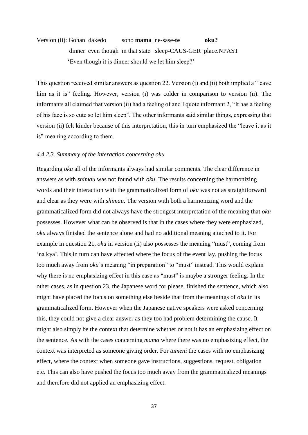### Version (ii): Gohan dakedo sono **mama** ne-sase-**te oku?** dinner even though in that state sleep-CAUS-GER place.NPAST 'Even though it is dinner should we let him sleep?'

This question received similar answers as question 22. Version (i) and (ii) both implied a "leave him as it is" feeling. However, version (i) was colder in comparison to version (ii). The informants all claimed that version (ii) had a feeling of and I quote informant 2, "It has a feeling of his face is so cute so let him sleep". The other informants said similar things, expressing that version (ii) felt kinder because of this interpretation, this in turn emphasized the "leave it as it is" meaning according to them.

#### <span id="page-44-0"></span>*4.4.2.3. Summary of the interaction concerning oku*

Regarding *oku* all of the informants always had similar comments. The clear difference in answers as with *shimau* was not found with *oku.* The results concerning the harmonizing words and their interaction with the grammaticalized form of *oku* was not as straightforward and clear as they were with *shimau*. The version with both a harmonizing word and the grammaticalized form did not always have the strongest interpretation of the meaning that *oku*  possesses. However what can be observed is that in the cases where they were emphasized, *oku* always finished the sentence alone and had no additional meaning attached to it. For example in question 21, *oku* in version (ii) also possesses the meaning "must", coming from 'na kya'. This in turn can have affected where the focus of the event lay, pushing the focus too much away from *oku*'s meaning "in preparation" to "must" instead. This would explain why there is no emphasizing effect in this case as "must" is maybe a stronger feeling. In the other cases, as in question 23, the Japanese word for please, finished the sentence, which also might have placed the focus on something else beside that from the meanings of *oku* in its grammaticalized form. However when the Japanese native speakers were asked concerning this, they could not give a clear answer as they too had problem determining the cause. It might also simply be the context that determine whether or not it has an emphasizing effect on the sentence. As with the cases concerning *mama* where there was no emphasizing effect, the context was interpreted as someone giving order. For *tameni* the cases with no emphasizing effect, where the context when someone gave instructions, suggestions, request, obligation etc. This can also have pushed the focus too much away from the grammaticalized meanings and therefore did not applied an emphasizing effect.

37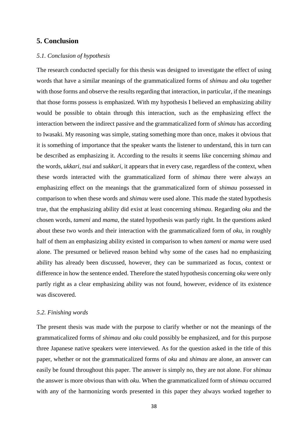#### <span id="page-45-0"></span>**5. Conclusion**

#### <span id="page-45-1"></span>*5.1. Conclusion of hypothesis*

The research conducted specially for this thesis was designed to investigate the effect of using words that have a similar meanings of the grammaticalized forms of *shimau* and *oku* together with those forms and observe the results regarding that interaction, in particular, if the meanings that those forms possess is emphasized. With my hypothesis I believed an emphasizing ability would be possible to obtain through this interaction, such as the emphasizing effect the interaction between the indirect passive and the grammaticalized form of *shimau* has according to Iwasaki. My reasoning was simple, stating something more than once, makes it obvious that it is something of importance that the speaker wants the listener to understand, this in turn can be described as emphasizing it. According to the results it seems like concerning *shimau* and the words, *ukkari, tsui* and *sukkari,* it appears that in every case, regardless of the context, when these words interacted with the grammaticalized form of *shimau* there were always an emphasizing effect on the meanings that the grammaticalized form of *shimau* possessed in comparison to when these words and *shimau* were used alone. This made the stated hypothesis true, that the emphasizing ability did exist at least concerning *shimau*. Regarding *oku* and the chosen words, *tameni* and *mama,* the stated hypothesis was partly right. In the questions asked about these two words and their interaction with the grammaticalized form of *oku,* in roughly half of them an emphasizing ability existed in comparison to when *tameni* or *mama* were used alone. The presumed or believed reason behind why some of the cases had no emphasizing ability has already been discussed, however, they can be summarized as focus, context or difference in how the sentence ended. Therefore the stated hypothesis concerning *oku* were only partly right as a clear emphasizing ability was not found, however, evidence of its existence was discovered.

#### <span id="page-45-2"></span>*5.2. Finishing words*

The present thesis was made with the purpose to clarify whether or not the meanings of the grammaticalized forms of *shimau* and *oku* could possibly be emphasized, and for this purpose three Japanese native speakers were interviewed. As for the question asked in the title of this paper, whether or not the grammaticalized forms of *oku* and *shimau* are alone, an answer can easily be found throughout this paper. The answer is simply no, they are not alone. For *shimau*  the answer is more obvious than with *oku*. When the grammaticalized form of *shimau* occurred with any of the harmonizing words presented in this paper they always worked together to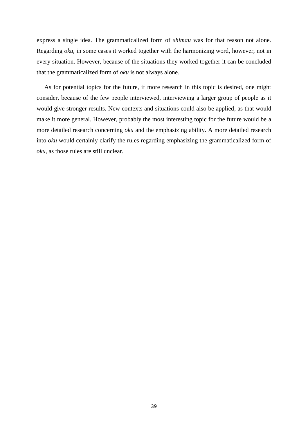express a single idea. The grammaticalized form of *shimau* was for that reason not alone. Regarding *oku*, in some cases it worked together with the harmonizing word, however, not in every situation. However, because of the situations they worked together it can be concluded that the grammaticalized form of *oku* is not always alone.

 As for potential topics for the future, if more research in this topic is desired, one might consider, because of the few people interviewed, interviewing a larger group of people as it would give stronger results. New contexts and situations could also be applied, as that would make it more general. However, probably the most interesting topic for the future would be a more detailed research concerning *oku* and the emphasizing ability. A more detailed research into *oku* would certainly clarify the rules regarding emphasizing the grammaticalized form of *oku,* as those rules are still unclear.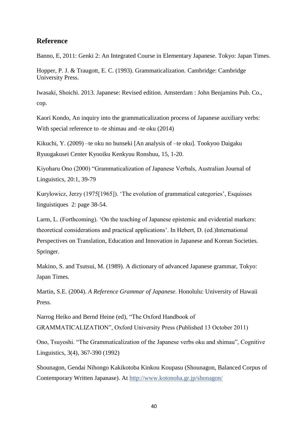### <span id="page-47-0"></span>**Reference**

Banno, E, 2011: Genki 2: An Integrated Course in Elementary Japanese. Tokyo: Japan Times.

Hopper, P. J. & Traugott, E. C. (1993). Grammaticalization. Cambridge: Cambridge University Press.

Iwasaki, Shoichi. 2013. Japanese: Revised edition. Amsterdam : John Benjamins Pub. Co., cop.

Kaori Kondo, An inquiry into the grammaticalization process of Japanese auxiliary verbs: With special reference to -te shimau and -te oku (2014)

Kikuchi, Y. (2009) –te oku no bunseki [An analysis of –te oku]. Tookyoo Daigaku Ryuugakusei Center Kyooiku Kenkyuu Ronshuu, 15, 1-20.

Kiyoharu Ono (2000) "Grammaticalization of Japanese Verbals, Australian Journal of Linguistics, 20:1, 39-79

Kurylowicz, Jerzy (1975[1965]). 'The evolution of grammatical categories', Esquisses linguistiques 2: page 38-54.

Larm, L. (Forthcoming). 'On the teaching of Japanese epistemic and evidential markers: theoretical considerations and practical applications'. In Hebert, D. (ed.)International Perspectives on Translation, Education and Innovation in Japanese and Korean Societies. Springer.

Makino, S. and Tsutsui, M. (1989). A dictionary of advanced Japanese grammar, Tokyo: Japan Times.

Martin, S.E. (2004). *A Reference Grammar of Japanese.* Honolulu: University of Hawaii Press.

Narrog Heiko and Bernd Heine (ed), "The Oxford Handbook of GRAMMATICALIZATION", Oxford University Press (Published 13 October 2011)

Ono, Tsuyoshi. "The Grammaticalization of the Japanese verbs oku and shimau", Cognitive Linguistics, 3(4), 367-390 (1992)

Shounagon, Gendai Nihongo Kakikotoba Kinkou Koupasu (Shounagon, Balanced Corpus of Contemporary Written Japanase). At [http://www.kotonoha.gr.jp/shonagon/](http://l.facebook.com/l.php?u=http%3A%2F%2Fwww.kotonoha.gr.jp%2Fshonagon%2F&h=iAQHbXUVM)